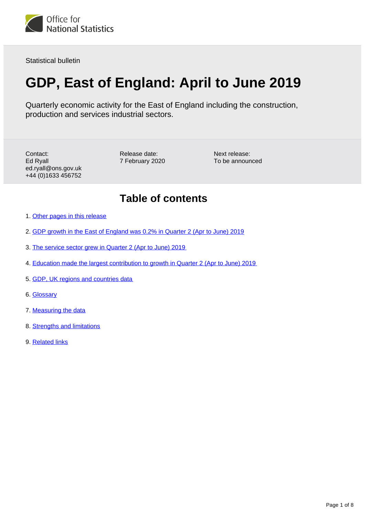

Statistical bulletin

# **GDP, East of England: April to June 2019**

Quarterly economic activity for the East of England including the construction, production and services industrial sectors.

Contact: Ed Ryall ed.ryall@ons.gov.uk +44 (0)1633 456752

Release date: 7 February 2020

Next release: To be announced

### **Table of contents**

- 1. [Other pages in this release](#page-1-0)
- 2. [GDP growth in the East of England was 0.2% in Quarter 2 \(Apr to June\) 2019](#page-2-0)
- 3. [The service sector grew in Quarter 2 \(Apr to June\) 2019](#page-3-0)
- 4. [Education made the largest contribution to growth in Quarter 2 \(Apr to June\) 2019](#page-4-0)
- 5. [GDP, UK regions and countries data](#page-5-0)
- 6. [Glossary](#page-5-1)
- 7. [Measuring the data](#page-6-0)
- 8. [Strengths and limitations](#page-6-1)
- 9. [Related links](#page-7-0)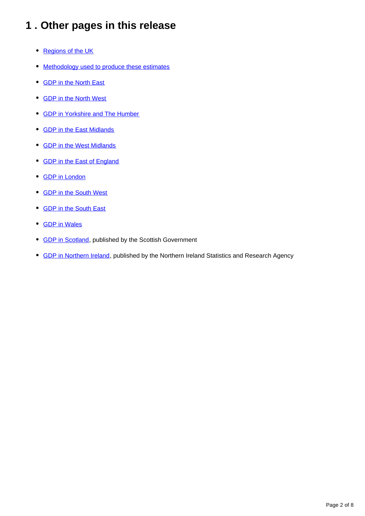## <span id="page-1-0"></span>**1 . Other pages in this release**

- [Regions of the UK](https://www.ons.gov.uk/economy/grossdomesticproductgdp/bulletins/gdpukregionsandcountries/apriltojune2019)
- [Methodology used to produce these estimates](https://www.ons.gov.uk/economy/grossdomesticproductgdp/methodologies/introducinggdpforthecountriesoftheukandtheregionsofengland)
- [GDP in the North East](https://www.ons.gov.uk/economy/grossdomesticproductgdp/bulletins/gdpnortheast/apriltojune2019)
- [GDP in the North West](https://www.ons.gov.uk/economy/grossdomesticproductgdp/bulletins/gdpnorthwest/apriltojune2019)
- [GDP in Yorkshire and The Humber](https://www.ons.gov.uk/economy/grossdomesticproductgdp/bulletins/gdpyorkshireandthehumber/apriltojune2019)
- [GDP in the East Midlands](https://www.ons.gov.uk/economy/grossdomesticproductgdp/bulletins/gdpeastmidlands/apriltojune2019)
- [GDP in the West Midlands](https://www.ons.gov.uk/economy/grossdomesticproductgdp/bulletins/gdpwestmidlands/apriltojune2019)
- [GDP in the East of England](https://www.ons.gov.uk/economy/grossdomesticproductgdp/bulletins/gdpeastofengland/apriltojune2019)
- [GDP in London](https://www.ons.gov.uk/economy/grossdomesticproductgdp/bulletins/gdplondon/apriltojune2019)
- [GDP in the South West](https://www.ons.gov.uk/economy/grossdomesticproductgdp/bulletins/gdpsouthwest/apriltojune2019)
- [GDP in the South East](https://www.ons.gov.uk/economy/grossdomesticproductgdp/bulletins/gdpsoutheast/apriltojune2019)
- [GDP in Wales](https://www.ons.gov.uk/economy/grossdomesticproductgdp/bulletins/gdpwales/apriltojune2019)
- [GDP in Scotland](https://www2.gov.scot/Topics/Statistics/Browse/Economy/PubGDP/GDP2019Q3), published by the Scottish Government
- **GDP** in Northern Ireland, published by the Northern Ireland Statistics and Research Agency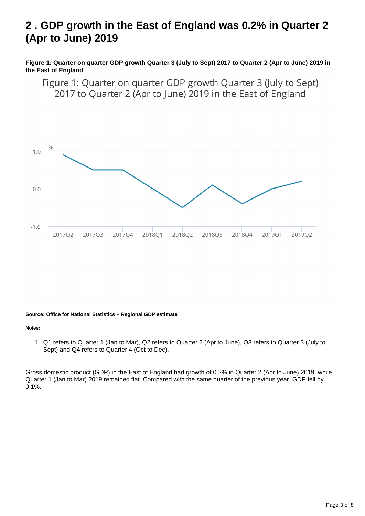## <span id="page-2-0"></span>**2 . GDP growth in the East of England was 0.2% in Quarter 2 (Apr to June) 2019**

**Figure 1: Quarter on quarter GDP growth Quarter 3 (July to Sept) 2017 to Quarter 2 (Apr to June) 2019 in the East of England**

Figure 1: Quarter on quarter GDP growth Quarter 3 (July to Sept) 2017 to Quarter 2 (Apr to June) 2019 in the East of England



#### **Source: Office for National Statistics – Regional GDP estimate**

#### **Notes:**

1. Q1 refers to Quarter 1 (Jan to Mar), Q2 refers to Quarter 2 (Apr to June), Q3 refers to Quarter 3 (July to Sept) and Q4 refers to Quarter 4 (Oct to Dec).

Gross domestic product (GDP) in the East of England had growth of 0.2% in Quarter 2 (Apr to June) 2019, while Quarter 1 (Jan to Mar) 2019 remained flat. Compared with the same quarter of the previous year, GDP fell by 0.1%.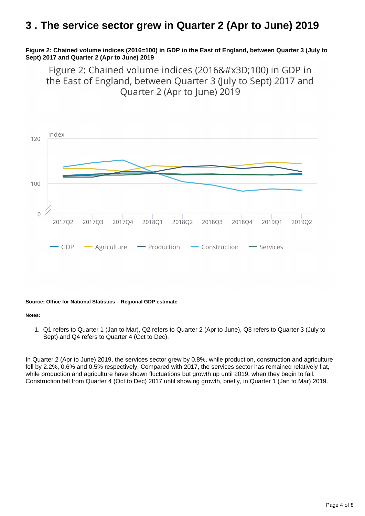### <span id="page-3-0"></span>**3 . The service sector grew in Quarter 2 (Apr to June) 2019**

#### **Figure 2: Chained volume indices (2016=100) in GDP in the East of England, between Quarter 3 (July to Sept) 2017 and Quarter 2 (Apr to June) 2019**

Figure 2: Chained volume indices (2016=100) in GDP in the East of England, between Quarter 3 (July to Sept) 2017 and Quarter 2 (Apr to June) 2019



#### **Source: Office for National Statistics – Regional GDP estimate**

#### **Notes:**

1. Q1 refers to Quarter 1 (Jan to Mar), Q2 refers to Quarter 2 (Apr to June), Q3 refers to Quarter 3 (July to Sept) and Q4 refers to Quarter 4 (Oct to Dec).

In Quarter 2 (Apr to June) 2019, the services sector grew by 0.8%, while production, construction and agriculture fell by 2.2%, 0.6% and 0.5% respectively. Compared with 2017, the services sector has remained relatively flat, while production and agriculture have shown fluctuations but growth up until 2019, when they begin to fall. Construction fell from Quarter 4 (Oct to Dec) 2017 until showing growth, briefly, in Quarter 1 (Jan to Mar) 2019.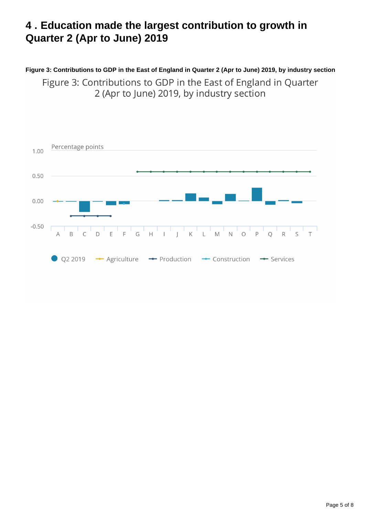## <span id="page-4-0"></span>**4 . Education made the largest contribution to growth in Quarter 2 (Apr to June) 2019**

### **Figure 3: Contributions to GDP in the East of England in Quarter 2 (Apr to June) 2019, by industry section**

Figure 3: Contributions to GDP in the East of England in Quarter 2 (Apr to June) 2019, by industry section

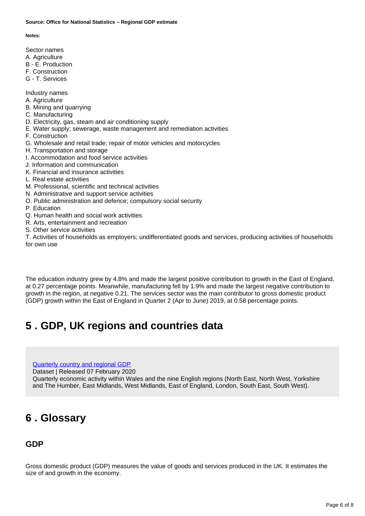#### **Source: Office for National Statistics – Regional GDP estimate**

**Notes:**

- Sector names
- A. Agriculture
- B E. Production
- F. Construction G - T. Services
- 
- Industry names
- A. Agriculture
- B. Mining and quarrying
- C. Manufacturing
- D. Electricity, gas, steam and air conditioning supply
- E. Water supply; sewerage, waste management and remediation activities
- F. Construction
- G. Wholesale and retail trade; repair of motor vehicles and motorcycles
- H. Transportation and storage
- I. Accommodation and food service activities
- J. Information and communication
- K. Financial and insurance activities
- L. Real estate activities
- M. Professional, scientific and technical activities
- N. Administrative and support service activities
- O. Public administration and defence; compulsory social security
- P. Education
- Q. Human health and social work activities
- R. Arts, entertainment and recreation
- S. Other service activities

T. Activities of households as employers; undifferentiated goods and services, producing activities of households for own use

The education industry grew by 4.8% and made the largest positive contribution to growth in the East of England, at 0.27 percentage points. Meanwhile, manufacturing fell by 1.9% and made the largest negative contribution to growth in the region, at negative 0.21. The services sector was the main contributor to gross domestic product (GDP) growth within the East of England in Quarter 2 (Apr to June) 2019, at 0.58 percentage points.

### <span id="page-5-0"></span>**5 . GDP, UK regions and countries data**

[Quarterly country and regional GDP](https://www.ons.gov.uk/economy/grossdomesticproductgdp/datasets/quarterlycountryandregionalgdp)

Dataset | Released 07 February 2020

Quarterly economic activity within Wales and the nine English regions (North East, North West, Yorkshire and The Humber, East Midlands, West Midlands, East of England, London, South East, South West).

### <span id="page-5-1"></span>**6 . Glossary**

### **GDP**

Gross domestic product (GDP) measures the value of goods and services produced in the UK. It estimates the size of and growth in the economy.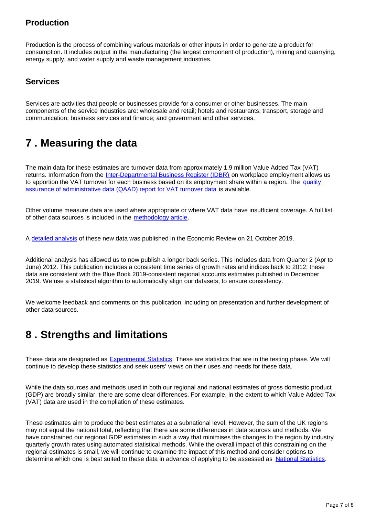### **Production**

Production is the process of combining various materials or other inputs in order to generate a product for consumption. It includes output in the manufacturing (the largest component of production), mining and quarrying, energy supply, and water supply and waste management industries.

### **Services**

Services are activities that people or businesses provide for a consumer or other businesses. The main components of the service industries are: wholesale and retail; hotels and restaurants; transport, storage and communication; business services and finance; and government and other services.

### <span id="page-6-0"></span>**7 . Measuring the data**

The main data for these estimates are turnover data from approximately 1.9 million Value Added Tax (VAT) returns. Information from the [Inter-Departmental Business Register \(IDBR\)](https://www.ons.gov.uk/aboutus/whatwedo/paidservices/interdepartmentalbusinessregisteridbr) on workplace employment allows us to apportion the VAT turnover for each business based on its employment share within a region. The quality [assurance of administrative data \(QAAD\) report for VAT turnover data](https://www.ons.gov.uk/economy/economicoutputandproductivity/output/methodologies/qualityassuranceofadministrativedataqaadreportforvalueaddedtaxturnoverdata) is available.

Other volume measure data are used where appropriate or where VAT data have insufficient coverage. A full list of other data sources is included in the [methodology article](https://www.ons.gov.uk/economy/grossdomesticproductgdp/methodologies/introducinggdpforthecountriesoftheukandtheregionsofengland).

A [detailed analysis](https://www.ons.gov.uk/economy/nationalaccounts/uksectoraccounts/compendium/economicreview/october2019) of these new data was published in the Economic Review on 21 October 2019.

Additional analysis has allowed us to now publish a longer back series. This includes data from Quarter 2 (Apr to June) 2012. This publication includes a consistent time series of growth rates and indices back to 2012; these data are consistent with the Blue Book 2019-consistent regional accounts estimates published in December 2019. We use a statistical algorithm to automatically align our datasets, to ensure consistency.

We welcome feedback and comments on this publication, including on presentation and further development of other data sources.

### <span id="page-6-1"></span>**8 . Strengths and limitations**

These data are designated as [Experimental Statistics](https://www.ons.gov.uk/methodology/methodologytopicsandstatisticalconcepts/guidetoexperimentalstatistics). These are statistics that are in the testing phase. We will continue to develop these statistics and seek users' views on their uses and needs for these data.

While the data sources and methods used in both our regional and national estimates of gross domestic product (GDP) are broadly similar, there are some clear differences. For example, in the extent to which Value Added Tax (VAT) data are used in the compliation of these estimates.

These estimates aim to produce the best estimates at a subnational level. However, the sum of the UK regions may not equal the national total, reflecting that there are some differences in data sources and methods. We have constrained our regional GDP estimates in such a way that minimises the changes to the region by industry quarterly growth rates using automated statistical methods. While the overall impact of this constraining on the regional estimates is small, we will continue to examine the impact of this method and consider options to determine which one is best suited to these data in advance of applying to be assessed as [National Statistics](https://www.statisticsauthority.gov.uk/about-the-authority/uk-statistical-system/types-of-official-statistics/).